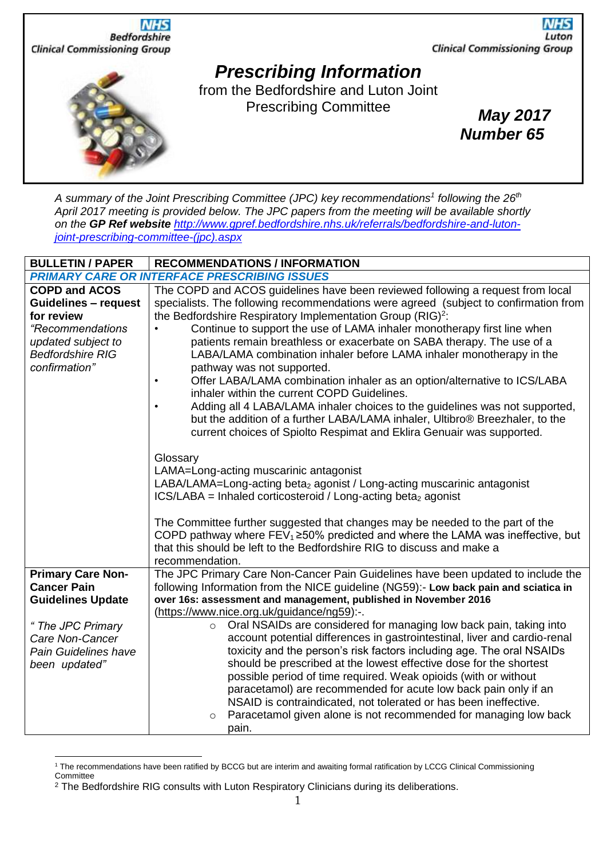

*A summary of the Joint Prescribing Committee (JPC) key recommendations<sup>1</sup> following the 26th April 2017 meeting is provided below. The JPC papers from the meeting will be available shortly on the GP Ref website [http://www.gpref.bedfordshire.nhs.uk/referrals/bedfordshire-and-luton](http://www.gpref.bedfordshire.nhs.uk/referrals/bedfordshire-and-luton-joint-prescribing-committee-(jpc).aspx)[joint-prescribing-committee-\(jpc\).aspx](http://www.gpref.bedfordshire.nhs.uk/referrals/bedfordshire-and-luton-joint-prescribing-committee-(jpc).aspx)*

| <b>BULLETIN / PAPER</b>                                                                                                                                    | <b>RECOMMENDATIONS / INFORMATION</b>                                                                                                                                                                                                                                                                                                                                                                                                                                                                                                                                                                                                                                                                                                                                                                                                                                                                     |
|------------------------------------------------------------------------------------------------------------------------------------------------------------|----------------------------------------------------------------------------------------------------------------------------------------------------------------------------------------------------------------------------------------------------------------------------------------------------------------------------------------------------------------------------------------------------------------------------------------------------------------------------------------------------------------------------------------------------------------------------------------------------------------------------------------------------------------------------------------------------------------------------------------------------------------------------------------------------------------------------------------------------------------------------------------------------------|
|                                                                                                                                                            | <b>PRIMARY CARE OR INTERFACE PRESCRIBING ISSUES</b>                                                                                                                                                                                                                                                                                                                                                                                                                                                                                                                                                                                                                                                                                                                                                                                                                                                      |
| <b>COPD and ACOS</b><br><b>Guidelines - request</b><br>for review<br>"Recommendations<br>updated subject to<br><b>Bedfordshire RIG</b><br>confirmation"    | The COPD and ACOS guidelines have been reviewed following a request from local<br>specialists. The following recommendations were agreed (subject to confirmation from<br>the Bedfordshire Respiratory Implementation Group (RIG) <sup>2</sup> :<br>Continue to support the use of LAMA inhaler monotherapy first line when<br>patients remain breathless or exacerbate on SABA therapy. The use of a<br>LABA/LAMA combination inhaler before LAMA inhaler monotherapy in the<br>pathway was not supported.<br>Offer LABA/LAMA combination inhaler as an option/alternative to ICS/LABA<br>inhaler within the current COPD Guidelines.<br>Adding all 4 LABA/LAMA inhaler choices to the guidelines was not supported,<br>but the addition of a further LABA/LAMA inhaler, Ultibro® Breezhaler, to the<br>current choices of Spiolto Respimat and Eklira Genuair was supported.                           |
|                                                                                                                                                            | Glossary<br>LAMA=Long-acting muscarinic antagonist<br>LABA/LAMA=Long-acting beta <sub>2</sub> agonist / Long-acting muscarinic antagonist<br>$ICS/LABA = Inhaled corticosteroid / Long-acting beta2 agonist$<br>The Committee further suggested that changes may be needed to the part of the<br>COPD pathway where $FEV_1 \ge 50\%$ predicted and where the LAMA was ineffective, but<br>that this should be left to the Bedfordshire RIG to discuss and make a<br>recommendation.                                                                                                                                                                                                                                                                                                                                                                                                                      |
| <b>Primary Care Non-</b><br><b>Cancer Pain</b><br><b>Guidelines Update</b><br>"The JPC Primary<br>Care Non-Cancer<br>Pain Guidelines have<br>been updated" | The JPC Primary Care Non-Cancer Pain Guidelines have been updated to include the<br>following Information from the NICE guideline (NG59):- Low back pain and sciatica in<br>over 16s: assessment and management, published in November 2016<br>(https://www.nice.org.uk/guidance/ng59):-.<br>Oral NSAIDs are considered for managing low back pain, taking into<br>$\circ$<br>account potential differences in gastrointestinal, liver and cardio-renal<br>toxicity and the person's risk factors including age. The oral NSAIDs<br>should be prescribed at the lowest effective dose for the shortest<br>possible period of time required. Weak opioids (with or without<br>paracetamol) are recommended for acute low back pain only if an<br>NSAID is contraindicated, not tolerated or has been ineffective.<br>Paracetamol given alone is not recommended for managing low back<br>$\circ$<br>pain. |

<sup>1</sup> The recommendations have been ratified by BCCG but are interim and awaiting formal ratification by LCCG Clinical Commissioning **Committee** 

l

<sup>&</sup>lt;sup>2</sup> The Bedfordshire RIG consults with Luton Respiratory Clinicians during its deliberations.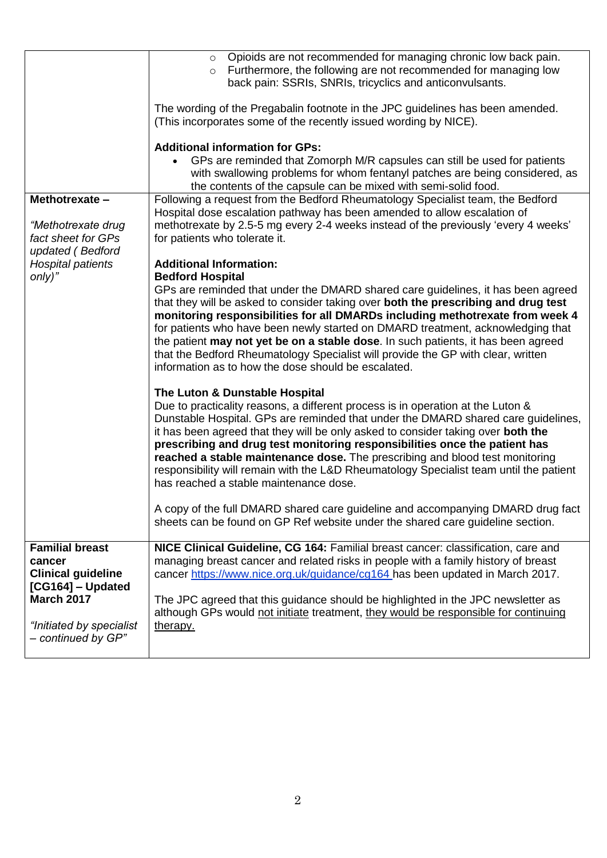|                                                                               | o Opioids are not recommended for managing chronic low back pain.<br>Furthermore, the following are not recommended for managing low<br>$\circ$<br>back pain: SSRIs, SNRIs, tricyclics and anticonvulsants.                                                                                                                                                                                                                                                                                                                                                                |
|-------------------------------------------------------------------------------|----------------------------------------------------------------------------------------------------------------------------------------------------------------------------------------------------------------------------------------------------------------------------------------------------------------------------------------------------------------------------------------------------------------------------------------------------------------------------------------------------------------------------------------------------------------------------|
|                                                                               | The wording of the Pregabalin footnote in the JPC guidelines has been amended.<br>(This incorporates some of the recently issued wording by NICE).                                                                                                                                                                                                                                                                                                                                                                                                                         |
|                                                                               | <b>Additional information for GPs:</b>                                                                                                                                                                                                                                                                                                                                                                                                                                                                                                                                     |
|                                                                               | GPs are reminded that Zomorph M/R capsules can still be used for patients<br>with swallowing problems for whom fentanyl patches are being considered, as<br>the contents of the capsule can be mixed with semi-solid food.                                                                                                                                                                                                                                                                                                                                                 |
| Methotrexate -                                                                | Following a request from the Bedford Rheumatology Specialist team, the Bedford                                                                                                                                                                                                                                                                                                                                                                                                                                                                                             |
| "Methotrexate drug<br>fact sheet for GPs<br>updated (Bedford                  | Hospital dose escalation pathway has been amended to allow escalation of<br>methotrexate by 2.5-5 mg every 2-4 weeks instead of the previously 'every 4 weeks'<br>for patients who tolerate it.                                                                                                                                                                                                                                                                                                                                                                            |
| <b>Hospital patients</b>                                                      | <b>Additional Information:</b>                                                                                                                                                                                                                                                                                                                                                                                                                                                                                                                                             |
| $only)$ "                                                                     | <b>Bedford Hospital</b>                                                                                                                                                                                                                                                                                                                                                                                                                                                                                                                                                    |
|                                                                               | GPs are reminded that under the DMARD shared care guidelines, it has been agreed<br>that they will be asked to consider taking over both the prescribing and drug test<br>monitoring responsibilities for all DMARDs including methotrexate from week 4<br>for patients who have been newly started on DMARD treatment, acknowledging that<br>the patient may not yet be on a stable dose. In such patients, it has been agreed<br>that the Bedford Rheumatology Specialist will provide the GP with clear, written<br>information as to how the dose should be escalated. |
|                                                                               | The Luton & Dunstable Hospital                                                                                                                                                                                                                                                                                                                                                                                                                                                                                                                                             |
|                                                                               | Due to practicality reasons, a different process is in operation at the Luton &<br>Dunstable Hospital. GPs are reminded that under the DMARD shared care guidelines,<br>it has been agreed that they will be only asked to consider taking over both the<br>prescribing and drug test monitoring responsibilities once the patient has<br>reached a stable maintenance dose. The prescribing and blood test monitoring<br>responsibility will remain with the L&D Rheumatology Specialist team until the patient<br>has reached a stable maintenance dose.                 |
|                                                                               | A copy of the full DMARD shared care guideline and accompanying DMARD drug fact<br>sheets can be found on GP Ref website under the shared care guideline section.                                                                                                                                                                                                                                                                                                                                                                                                          |
| <b>Familial breast</b>                                                        | NICE Clinical Guideline, CG 164: Familial breast cancer: classification, care and                                                                                                                                                                                                                                                                                                                                                                                                                                                                                          |
| cancer<br><b>Clinical guideline</b><br>[CG164] - Updated<br><b>March 2017</b> | managing breast cancer and related risks in people with a family history of breast<br>cancer https://www.nice.org.uk/guidance/cg164 has been updated in March 2017.                                                                                                                                                                                                                                                                                                                                                                                                        |
|                                                                               | The JPC agreed that this guidance should be highlighted in the JPC newsletter as<br>although GPs would not initiate treatment, they would be responsible for continuing                                                                                                                                                                                                                                                                                                                                                                                                    |
| "Initiated by specialist<br>- continued by GP"                                | therapy.                                                                                                                                                                                                                                                                                                                                                                                                                                                                                                                                                                   |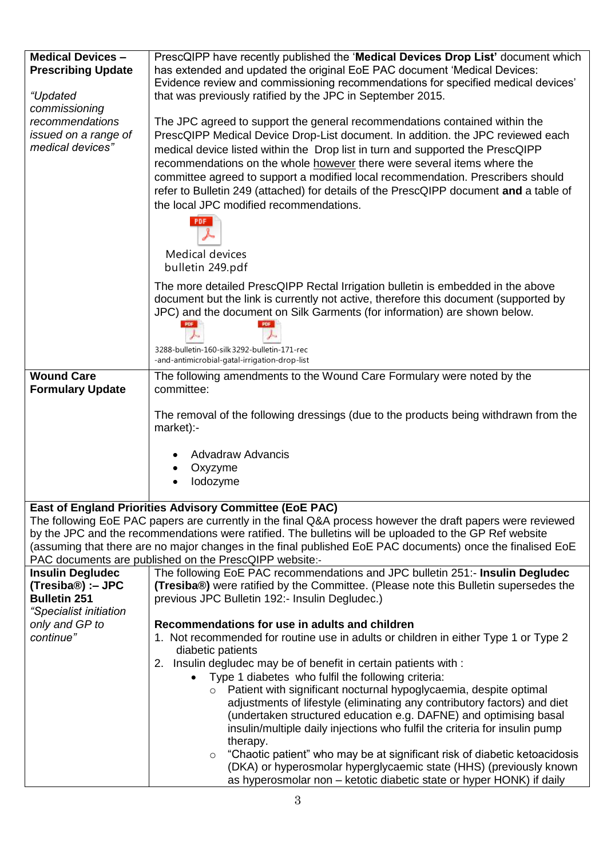| <b>Medical Devices -</b><br><b>Prescribing Update</b><br>"Updated                                                                                                                                                                                                                                                                  | PrescQIPP have recently published the 'Medical Devices Drop List' document which<br>has extended and updated the original EoE PAC document 'Medical Devices:<br>Evidence review and commissioning recommendations for specified medical devices'<br>that was previously ratified by the JPC in September 2015.                                                                                                                                                                                                                                                                     |  |
|------------------------------------------------------------------------------------------------------------------------------------------------------------------------------------------------------------------------------------------------------------------------------------------------------------------------------------|------------------------------------------------------------------------------------------------------------------------------------------------------------------------------------------------------------------------------------------------------------------------------------------------------------------------------------------------------------------------------------------------------------------------------------------------------------------------------------------------------------------------------------------------------------------------------------|--|
| commissioning<br>recommendations<br>issued on a range of<br>medical devices"                                                                                                                                                                                                                                                       | The JPC agreed to support the general recommendations contained within the<br>PrescQIPP Medical Device Drop-List document. In addition. the JPC reviewed each<br>medical device listed within the Drop list in turn and supported the PrescQIPP<br>recommendations on the whole however there were several items where the<br>committee agreed to support a modified local recommendation. Prescribers should<br>refer to Bulletin 249 (attached) for details of the PrescQIPP document and a table of<br>the local JPC modified recommendations.<br><b>PDF</b><br>Medical devices |  |
|                                                                                                                                                                                                                                                                                                                                    | bulletin 249.pdf<br>The more detailed PrescQIPP Rectal Irrigation bulletin is embedded in the above<br>document but the link is currently not active, therefore this document (supported by<br>JPC) and the document on Silk Garments (for information) are shown below.<br>3288-bulletin-160-silk 3292-bulletin-171-rec<br>-and-antimicrobial-gatal-irrigation-drop-list                                                                                                                                                                                                          |  |
| <b>Wound Care</b>                                                                                                                                                                                                                                                                                                                  | The following amendments to the Wound Care Formulary were noted by the                                                                                                                                                                                                                                                                                                                                                                                                                                                                                                             |  |
| <b>Formulary Update</b>                                                                                                                                                                                                                                                                                                            | committee:                                                                                                                                                                                                                                                                                                                                                                                                                                                                                                                                                                         |  |
|                                                                                                                                                                                                                                                                                                                                    | The removal of the following dressings (due to the products being withdrawn from the<br>market):-<br><b>Advadraw Advancis</b>                                                                                                                                                                                                                                                                                                                                                                                                                                                      |  |
|                                                                                                                                                                                                                                                                                                                                    | Oxyzyme<br>lodozyme                                                                                                                                                                                                                                                                                                                                                                                                                                                                                                                                                                |  |
|                                                                                                                                                                                                                                                                                                                                    | East of England Priorities Advisory Committee (EoE PAC)                                                                                                                                                                                                                                                                                                                                                                                                                                                                                                                            |  |
| The following EoE PAC papers are currently in the final Q&A process however the draft papers were reviewed<br>by the JPC and the recommendations were ratified. The bulletins will be uploaded to the GP Ref website<br>(assuming that there are no major changes in the final published EoE PAC documents) once the finalised EoE |                                                                                                                                                                                                                                                                                                                                                                                                                                                                                                                                                                                    |  |
| <b>Insulin Degludec</b>                                                                                                                                                                                                                                                                                                            | PAC documents are published on the PrescQIPP website:-<br>The following EoE PAC recommendations and JPC bulletin 251:- Insulin Degludec                                                                                                                                                                                                                                                                                                                                                                                                                                            |  |
| (Tresiba®) :– JPC<br><b>Bulletin 251</b><br>"Specialist initiation                                                                                                                                                                                                                                                                 | (Tresiba®) were ratified by the Committee. (Please note this Bulletin supersedes the<br>previous JPC Bulletin 192:- Insulin Degludec.)                                                                                                                                                                                                                                                                                                                                                                                                                                             |  |
| only and GP to                                                                                                                                                                                                                                                                                                                     | Recommendations for use in adults and children                                                                                                                                                                                                                                                                                                                                                                                                                                                                                                                                     |  |
| continue"                                                                                                                                                                                                                                                                                                                          | 1. Not recommended for routine use in adults or children in either Type 1 or Type 2                                                                                                                                                                                                                                                                                                                                                                                                                                                                                                |  |
|                                                                                                                                                                                                                                                                                                                                    | diabetic patients<br>2. Insulin degludec may be of benefit in certain patients with :                                                                                                                                                                                                                                                                                                                                                                                                                                                                                              |  |
|                                                                                                                                                                                                                                                                                                                                    | Type 1 diabetes who fulfil the following criteria:<br>$\bullet$                                                                                                                                                                                                                                                                                                                                                                                                                                                                                                                    |  |
|                                                                                                                                                                                                                                                                                                                                    | Patient with significant nocturnal hypoglycaemia, despite optimal<br>$\circ$                                                                                                                                                                                                                                                                                                                                                                                                                                                                                                       |  |
|                                                                                                                                                                                                                                                                                                                                    | adjustments of lifestyle (eliminating any contributory factors) and diet<br>(undertaken structured education e.g. DAFNE) and optimising basal<br>insulin/multiple daily injections who fulfil the criteria for insulin pump                                                                                                                                                                                                                                                                                                                                                        |  |
|                                                                                                                                                                                                                                                                                                                                    | therapy.                                                                                                                                                                                                                                                                                                                                                                                                                                                                                                                                                                           |  |
|                                                                                                                                                                                                                                                                                                                                    | "Chaotic patient" who may be at significant risk of diabetic ketoacidosis<br>$\circ$<br>(DKA) or hyperosmolar hyperglycaemic state (HHS) (previously known                                                                                                                                                                                                                                                                                                                                                                                                                         |  |
|                                                                                                                                                                                                                                                                                                                                    | as hyperosmolar non – ketotic diabetic state or hyper HONK) if daily                                                                                                                                                                                                                                                                                                                                                                                                                                                                                                               |  |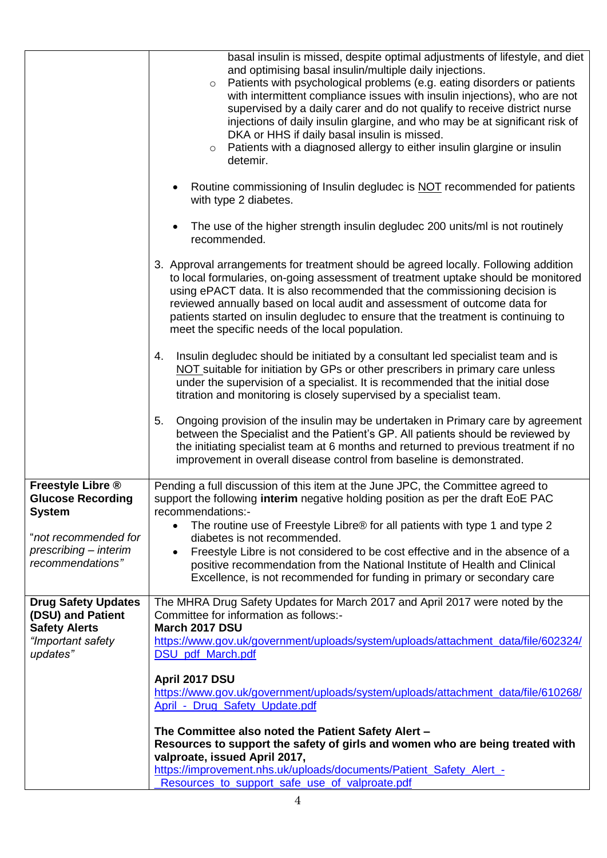|                                                                         | basal insulin is missed, despite optimal adjustments of lifestyle, and diet<br>and optimising basal insulin/multiple daily injections.<br>Patients with psychological problems (e.g. eating disorders or patients<br>$\circ$<br>with intermittent compliance issues with insulin injections), who are not<br>supervised by a daily carer and do not qualify to receive district nurse<br>injections of daily insulin glargine, and who may be at significant risk of<br>DKA or HHS if daily basal insulin is missed.<br>Patients with a diagnosed allergy to either insulin glargine or insulin<br>$\circ$<br>detemir. |
|-------------------------------------------------------------------------|------------------------------------------------------------------------------------------------------------------------------------------------------------------------------------------------------------------------------------------------------------------------------------------------------------------------------------------------------------------------------------------------------------------------------------------------------------------------------------------------------------------------------------------------------------------------------------------------------------------------|
|                                                                         | Routine commissioning of Insulin degludec is NOT recommended for patients<br>with type 2 diabetes.                                                                                                                                                                                                                                                                                                                                                                                                                                                                                                                     |
|                                                                         | The use of the higher strength insulin degludec 200 units/ml is not routinely<br>recommended.                                                                                                                                                                                                                                                                                                                                                                                                                                                                                                                          |
|                                                                         | 3. Approval arrangements for treatment should be agreed locally. Following addition<br>to local formularies, on-going assessment of treatment uptake should be monitored<br>using ePACT data. It is also recommended that the commissioning decision is<br>reviewed annually based on local audit and assessment of outcome data for<br>patients started on insulin degludec to ensure that the treatment is continuing to<br>meet the specific needs of the local population.                                                                                                                                         |
|                                                                         | Insulin degludec should be initiated by a consultant led specialist team and is<br>4.<br>NOT suitable for initiation by GPs or other prescribers in primary care unless<br>under the supervision of a specialist. It is recommended that the initial dose<br>titration and monitoring is closely supervised by a specialist team.                                                                                                                                                                                                                                                                                      |
|                                                                         | Ongoing provision of the insulin may be undertaken in Primary care by agreement<br>5.<br>between the Specialist and the Patient's GP. All patients should be reviewed by<br>the initiating specialist team at 6 months and returned to previous treatment if no<br>improvement in overall disease control from baseline is demonstrated.                                                                                                                                                                                                                                                                               |
| Freestyle Libre ®<br><b>Glucose Recording</b><br><b>System</b>          | Pending a full discussion of this item at the June JPC, the Committee agreed to<br>support the following interim negative holding position as per the draft EoE PAC<br>recommendations:-                                                                                                                                                                                                                                                                                                                                                                                                                               |
| "not recommended for                                                    | The routine use of Freestyle Libre® for all patients with type 1 and type 2<br>$\bullet$<br>diabetes is not recommended.                                                                                                                                                                                                                                                                                                                                                                                                                                                                                               |
| prescribing - interim<br>recommendations"                               | Freestyle Libre is not considered to be cost effective and in the absence of a<br>positive recommendation from the National Institute of Health and Clinical<br>Excellence, is not recommended for funding in primary or secondary care                                                                                                                                                                                                                                                                                                                                                                                |
| <b>Drug Safety Updates</b><br>(DSU) and Patient<br><b>Safety Alerts</b> | The MHRA Drug Safety Updates for March 2017 and April 2017 were noted by the<br>Committee for information as follows:-<br>March 2017 DSU                                                                                                                                                                                                                                                                                                                                                                                                                                                                               |
| "Important safety<br>updates"                                           | https://www.gov.uk/government/uploads/system/uploads/attachment_data/file/602324/<br>DSU_pdf_March.pdf                                                                                                                                                                                                                                                                                                                                                                                                                                                                                                                 |
|                                                                         | April 2017 DSU                                                                                                                                                                                                                                                                                                                                                                                                                                                                                                                                                                                                         |
|                                                                         | https://www.gov.uk/government/uploads/system/uploads/attachment_data/file/610268/<br>April - Drug Safety Update.pdf                                                                                                                                                                                                                                                                                                                                                                                                                                                                                                    |
|                                                                         |                                                                                                                                                                                                                                                                                                                                                                                                                                                                                                                                                                                                                        |
|                                                                         | The Committee also noted the Patient Safety Alert -<br>Resources to support the safety of girls and women who are being treated with                                                                                                                                                                                                                                                                                                                                                                                                                                                                                   |
|                                                                         | valproate, issued April 2017,                                                                                                                                                                                                                                                                                                                                                                                                                                                                                                                                                                                          |
|                                                                         | https://improvement.nhs.uk/uploads/documents/Patient_Safety_Alert_-<br>Resources to support safe use of valproate.pdf                                                                                                                                                                                                                                                                                                                                                                                                                                                                                                  |
|                                                                         |                                                                                                                                                                                                                                                                                                                                                                                                                                                                                                                                                                                                                        |